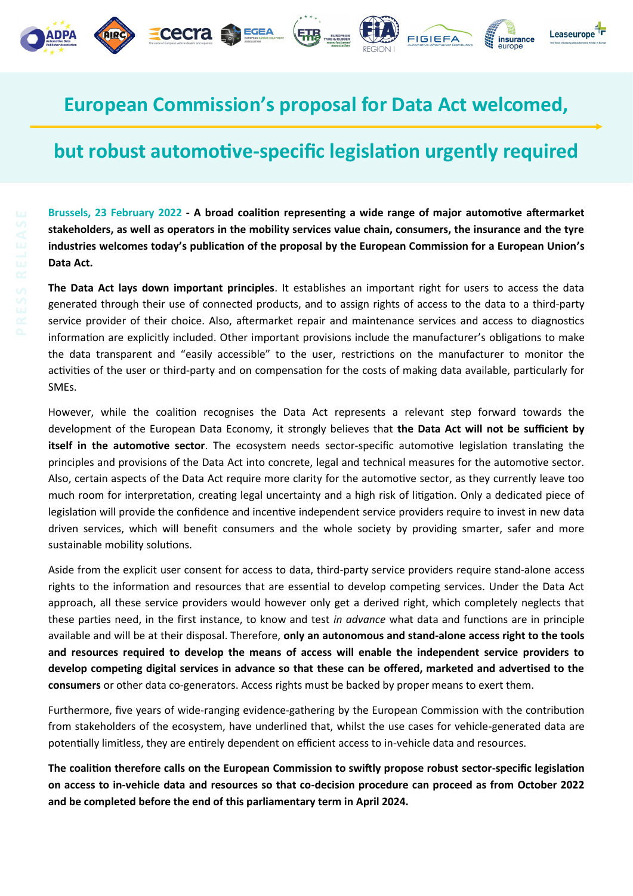



馬場

FIGIEFA

Leaseurope

insurance

EGEA

cecra

## **but robust automotive-specific legislation urgently required**

**Brussels, 23 February 2022 - A broad coalition representing a wide range of major automotive aftermarket stakeholders, as well as operators in the mobility services value chain, consumers, the insurance and the tyre industries welcomes today's publication of the proposal by the European Commission for a European Union's Data Act.**

**The Data Act lays down important principles**. It establishes an important right for users to access the data generated through their use of connected products, and to assign rights of access to the data to a third-party service provider of their choice. Also, aftermarket repair and maintenance services and access to diagnostics information are explicitly included. Other important provisions include the manufacturer's obligations to make the data transparent and "easily accessible" to the user, restrictions on the manufacturer to monitor the activities of the user or third-party and on compensation for the costs of making data available, particularly for SMEs.

However, while the coalition recognises the Data Act represents a relevant step forward towards the development of the European Data Economy, it strongly believes that **the Data Act will not be sufficient by itself in the automotive sector**. The ecosystem needs sector-specific automotive legislation translating the principles and provisions of the Data Act into concrete, legal and technical measures for the automotive sector. Also, certain aspects of the Data Act require more clarity for the automotive sector, as they currently leave too much room for interpretation, creating legal uncertainty and a high risk of litigation. Only a dedicated piece of legislation will provide the confidence and incentive independent service providers require to invest in new data driven services, which will benefit consumers and the whole society by providing smarter, safer and more sustainable mobility solutions.

Aside from the explicit user consent for access to data, third-party service providers require stand-alone access rights to the information and resources that are essential to develop competing services. Under the Data Act approach, all these service providers would however only get a derived right, which completely neglects that these parties need, in the first instance, to know and test *in advance* what data and functions are in principle available and will be at their disposal. Therefore, **only an autonomous and stand-alone access right to the tools and resources required to develop the means of access will enable the independent service providers to develop competing digital services in advance so that these can be offered, marketed and advertised to the consumers** or other data co-generators. Access rights must be backed by proper means to exert them.

Furthermore, five years of wide-ranging evidence-gathering by the European Commission with the contribution from stakeholders of the ecosystem, have underlined that, whilst the use cases for vehicle-generated data are potentially limitless, they are entirely dependent on efficient access to in-vehicle data and resources.

**The coalition therefore calls on the European Commission to swiftly propose robust sector-specific legislation on access to in-vehicle data and resources so that co-decision procedure can proceed as from October 2022 and be completed before the end of this parliamentary term in April 2024.**